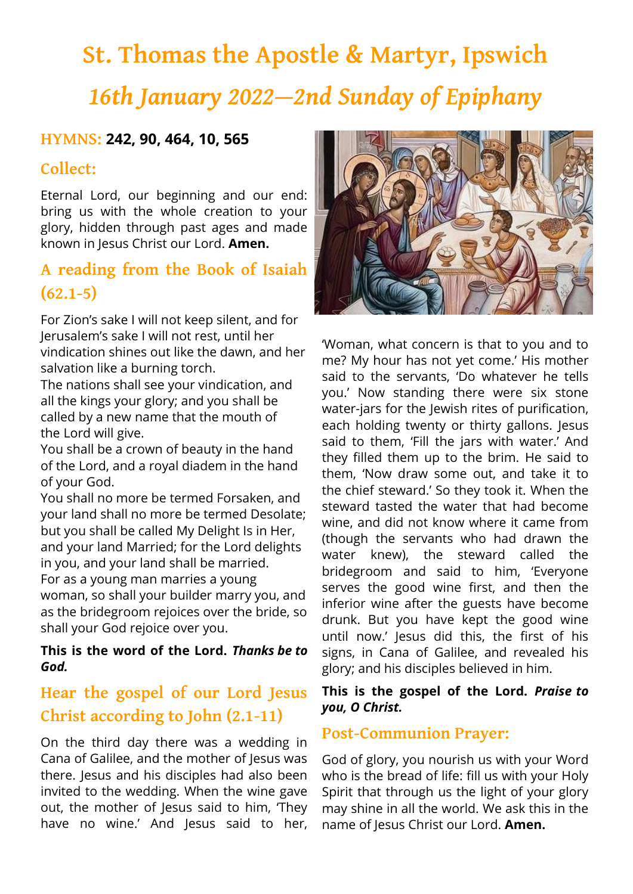# **St. Thomas the Apostle & Martyr, Ipswich** *16th January 2022—2nd Sunday of Epiphany*

### **HYMNS: 242, 90, 464, 10, 565**

## **Collect:**

Eternal Lord, our beginning and our end: bring us with the whole creation to your glory, hidden through past ages and made known in Jesus Christ our Lord. **Amen.**

## **A reading from the Book of Isaiah (62.1-5)**

For Zion's sake I will not keep silent, and for Jerusalem's sake I will not rest, until her vindication shines out like the dawn, and her salvation like a burning torch.

The nations shall see your vindication, and all the kings your glory; and you shall be called by a new name that the mouth of the Lord will give.

You shall be a crown of beauty in the hand of the Lord, and a royal diadem in the hand of your God.

You shall no more be termed Forsaken, and your land shall no more be termed Desolate; but you shall be called My Delight Is in Her, and your land Married; for the Lord delights in you, and your land shall be married. For as a young man marries a young

woman, so shall your builder marry you, and as the bridegroom rejoices over the bride, so shall your God rejoice over you.

#### **This is the word of the Lord.** *Thanks be to God.*

# **Hear the gospel of our Lord Jesus Christ according to John (2.1-11)**

On the third day there was a wedding in Cana of Galilee, and the mother of Jesus was there. Jesus and his disciples had also been invited to the wedding. When the wine gave out, the mother of Jesus said to him, 'They have no wine.' And Jesus said to her,



'Woman, what concern is that to you and to me? My hour has not yet come.' His mother said to the servants, 'Do whatever he tells you.' Now standing there were six stone water-jars for the Jewish rites of purification, each holding twenty or thirty gallons. Jesus said to them, 'Fill the jars with water.' And they filled them up to the brim. He said to them, 'Now draw some out, and take it to the chief steward.' So they took it. When the steward tasted the water that had become wine, and did not know where it came from (though the servants who had drawn the water knew), the steward called the bridegroom and said to him, 'Everyone serves the good wine first, and then the inferior wine after the guests have become drunk. But you have kept the good wine until now.' Jesus did this, the first of his signs, in Cana of Galilee, and revealed his glory; and his disciples believed in him.

#### **This is the gospel of the Lord.** *Praise to you, O Christ.*

#### **Post-Communion Prayer:**

God of glory, you nourish us with your Word who is the bread of life: fill us with your Holy Spirit that through us the light of your glory may shine in all the world. We ask this in the name of Jesus Christ our Lord. **Amen.**